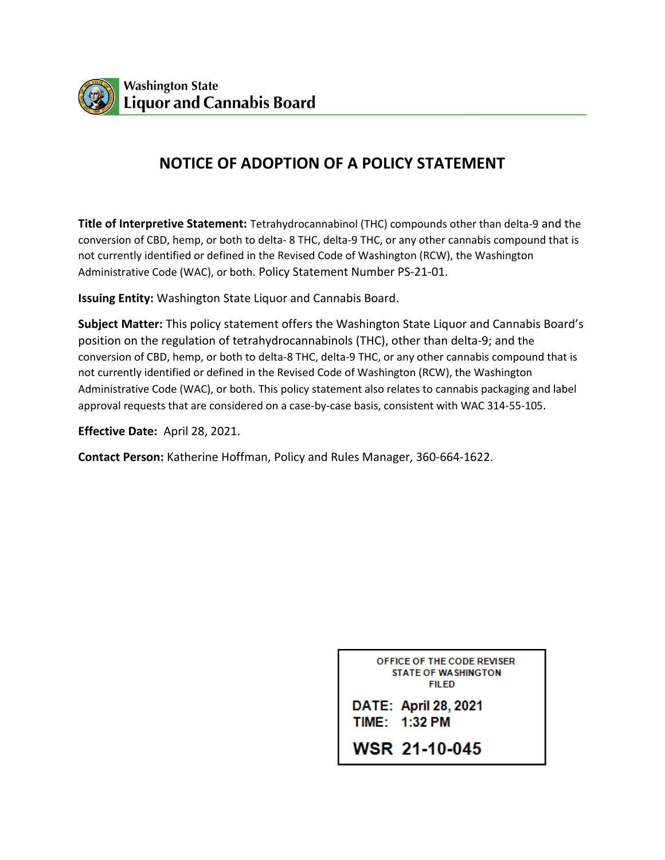

# **NOTICE OF ADOPTION OF A POLICY STATEMENT**

**Title of Interpretive Statement:** Tetrahydrocannabinol (THC) compounds other than delta-9 and the conversion of CBD, hemp, or both to delta- 8 THC, delta-9 THC, or any other cannabis compound that is not currently identified or defined in the Revised Code of Washington (RCW), the Washington Administrative Code (WAC), or both. Policy Statement Number PS-21-01.

**Issuing Entity:** Washington State Liquor and Cannabis Board.

**Subject Matter:** This policy statement offers the Washington State Liquor and Cannabis Board's position on the regulation of tetrahydrocannabinols (THC), other than delta-9; and the conversion of CBD, hemp, or both to delta-8 THC, delta-9 THC, or any other cannabis compound that is not currently identified or defined in the Revised Code of Washington (RCW), the Washington Administrative Code (WAC), or both. This policy statement also relates to cannabis packaging and label approval requests that are considered on a case-by-case basis, consistent with WAC 314-55-105.

**Effective Date:** April 28, 2021.

**Contact Person:** Katherine Hoffman, Policy and Rules Manager, 360-664-1622.

OFFICE OF THE CODE REVISER **STATE OF WASHINGTON** FII FD

DATE: April 28, 2021 TIME: 1:32 PM

**WSR 21-10-045**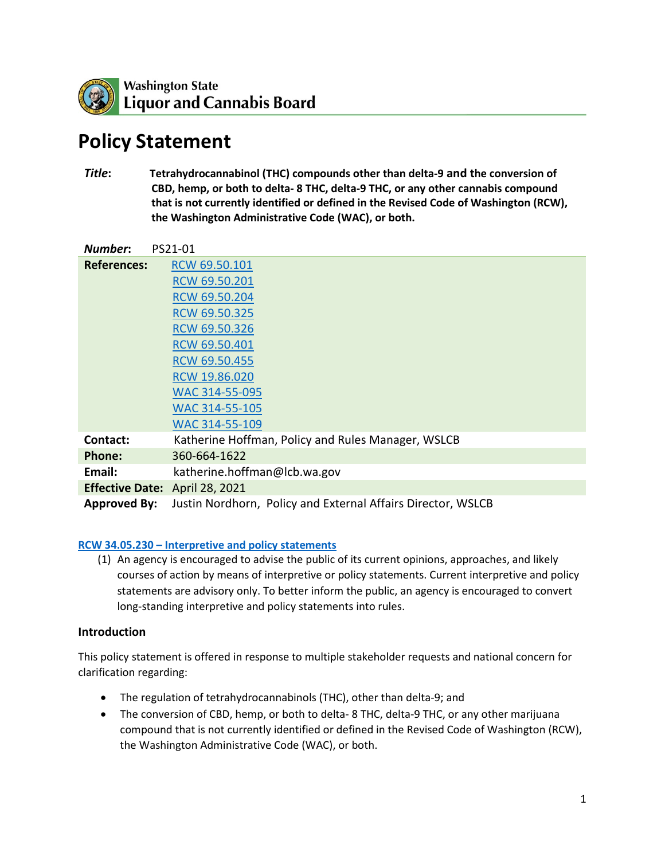

# **Policy Statement**

*Title***: Tetrahydrocannabinol (THC) compounds other than delta-9 and the conversion of CBD, hemp, or both to delta- 8 THC, delta-9 THC, or any other cannabis compound that is not currently identified or defined in the Revised Code of Washington (RCW), the Washington Administrative Code (WAC), or both.**

| Number:                | PS21-01                                                      |
|------------------------|--------------------------------------------------------------|
| <b>References:</b>     | RCW 69.50.101                                                |
|                        | RCW 69.50.201                                                |
|                        | RCW 69.50.204                                                |
|                        | RCW 69.50.325                                                |
|                        | RCW 69.50.326                                                |
|                        | RCW 69.50.401                                                |
|                        | RCW 69.50.455                                                |
|                        | RCW 19.86.020                                                |
|                        | WAC 314-55-095                                               |
|                        | WAC 314-55-105                                               |
|                        | WAC 314-55-109                                               |
| Contact:               | Katherine Hoffman, Policy and Rules Manager, WSLCB           |
| Phone:                 | 360-664-1622                                                 |
| Email:                 | katherine.hoffman@lcb.wa.gov                                 |
| <b>Effective Date:</b> | April 28, 2021                                               |
| <b>Approved By:</b>    | Justin Nordhorn, Policy and External Affairs Director, WSLCB |

#### **RCW 34.05.230 – [Interpretive and policy statements](https://app.leg.wa.gov/rcw/default.aspx?cite=34.05.230)**

(1) An agency is encouraged to advise the public of its current opinions, approaches, and likely courses of action by means of interpretive or policy statements. Current interpretive and policy statements are advisory only. To better inform the public, an agency is encouraged to convert long-standing interpretive and policy statements into rules.

#### **Introduction**

This policy statement is offered in response to multiple stakeholder requests and national concern for clarification regarding:

- The regulation of tetrahydrocannabinols (THC), other than delta-9; and
- The conversion of CBD, hemp, or both to delta-8 THC, delta-9 THC, or any other marijuana compound that is not currently identified or defined in the Revised Code of Washington (RCW), the Washington Administrative Code (WAC), or both.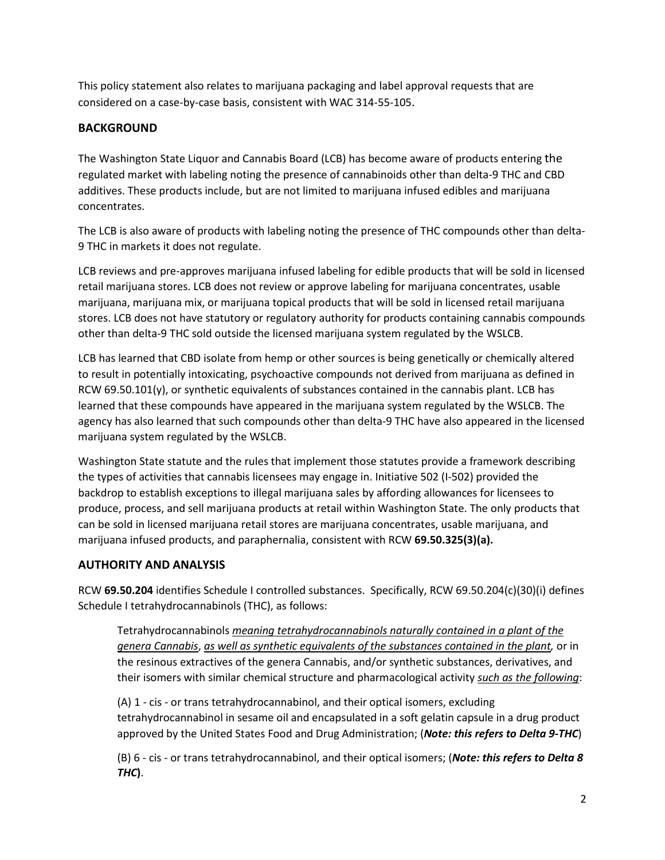This policy statement also relates to marijuana packaging and label approval requests that are considered on a case-by-case basis, consistent with WAC 314-55-105.

## **BACKGROUND**

The Washington State Liquor and Cannabis Board (LCB) has become aware of products entering the regulated market with labeling noting the presence of cannabinoids other than delta-9 THC and CBD additives. These products include, but are not limited to marijuana infused edibles and marijuana concentrates.

The LCB is also aware of products with labeling noting the presence of THC compounds other than delta-9 THC in markets it does not regulate.

LCB reviews and pre-approves marijuana infused labeling for edible products that will be sold in licensed retail marijuana stores. LCB does not review or approve labeling for marijuana concentrates, usable marijuana, marijuana mix, or marijuana topical products that will be sold in licensed retail marijuana stores. LCB does not have statutory or regulatory authority for products containing cannabis compounds other than delta-9 THC sold outside the licensed marijuana system regulated by the WSLCB.

LCB has learned that CBD isolate from hemp or other sources is being genetically or chemically altered to result in potentially intoxicating, psychoactive compounds not derived from marijuana as defined in RCW 69.50.101(y), or synthetic equivalents of substances contained in the cannabis plant. LCB has learned that these compounds have appeared in the marijuana system regulated by the WSLCB. The agency has also learned that such compounds other than delta-9 THC have also appeared in the licensed marijuana system regulated by the WSLCB.

Washington State statute and the rules that implement those statutes provide a framework describing the types of activities that cannabis licensees may engage in. Initiative 502 (I-502) provided the backdrop to establish exceptions to illegal marijuana sales by affording allowances for licensees to produce, process, and sell marijuana products at retail within Washington State. The only products that can be sold in licensed marijuana retail stores are marijuana concentrates, usable marijuana, and marijuana infused products, and paraphernalia, consistent with RCW **69.50.325(3)(a).**

### **AUTHORITY AND ANALYSIS**

RCW **69.50.204** identifies Schedule I controlled substances. Specifically, RCW 69.50.204(c)(30)(i) defines Schedule I tetrahydrocannabinols (THC), as follows:

Tetrahydrocannabinols *meaning tetrahydrocannabinols naturally contained in a plant of the genera Cannabis*, *as well as synthetic equivalents of the substances contained in the plant,* or in the resinous extractives of the genera Cannabis, and/or synthetic substances, derivatives, and their isomers with similar chemical structure and pharmacological activity *such as the following*:

(A) 1 - cis - or trans tetrahydrocannabinol, and their optical isomers, excluding tetrahydrocannabinol in sesame oil and encapsulated in a soft gelatin capsule in a drug product approved by the United States Food and Drug Administration; (*Note: this refers to Delta 9-THC*)

(B) 6 - cis - or trans tetrahydrocannabinol, and their optical isomers; (*Note: this refers to Delta 8 THC***)**.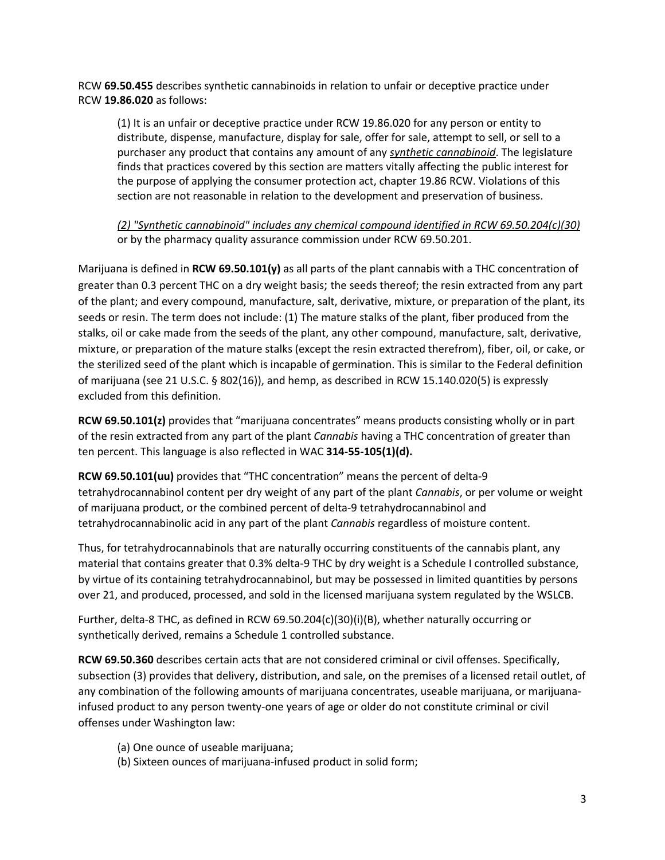RCW **69.50.455** describes synthetic cannabinoids in relation to unfair or deceptive practice under RCW **19.86.020** as follows:

(1) It is an unfair or deceptive practice under RCW 19.86.020 for any person or entity to distribute, dispense, manufacture, display for sale, offer for sale, attempt to sell, or sell to a purchaser any product that contains any amount of any *synthetic cannabinoid*. The legislature finds that practices covered by this section are matters vitally affecting the public interest for the purpose of applying the consumer protection act, chapter 19.86 RCW. Violations of this section are not reasonable in relation to the development and preservation of business.

*(2) "Synthetic cannabinoid" includes any chemical compound identified in RCW 69.50.204(c)(30)* or by the pharmacy quality assurance commission under RCW 69.50.201.

Marijuana is defined in **RCW 69.50.101(y)** as all parts of the plant cannabis with a THC concentration of greater than 0.3 percent THC on a dry weight basis; the seeds thereof; the resin extracted from any part of the plant; and every compound, manufacture, salt, derivative, mixture, or preparation of the plant, its seeds or resin. The term does not include: (1) The mature stalks of the plant, fiber produced from the stalks, oil or cake made from the seeds of the plant, any other compound, manufacture, salt, derivative, mixture, or preparation of the mature stalks (except the resin extracted therefrom), fiber, oil, or cake, or the sterilized seed of the plant which is incapable of germination. This is similar to the Federal definition of marijuana (see 21 U.S.C. § 802(16)), and hemp, as described in RCW 15.140.020(5) is expressly excluded from this definition.

**RCW 69.50.101(z)** provides that "marijuana concentrates" means products consisting wholly or in part of the resin extracted from any part of the plant *Cannabis* having a THC concentration of greater than ten percent. This language is also reflected in WAC **314-55-105(1)(d).**

**RCW 69.50.101(uu)** provides that "THC concentration" means the percent of delta-9 tetrahydrocannabinol content per dry weight of any part of the plant *Cannabis*, or per volume or weight of marijuana product, or the combined percent of delta-9 tetrahydrocannabinol and tetrahydrocannabinolic acid in any part of the plant *Cannabis* regardless of moisture content.

Thus, for tetrahydrocannabinols that are naturally occurring constituents of the cannabis plant, any material that contains greater that 0.3% delta-9 THC by dry weight is a Schedule I controlled substance, by virtue of its containing tetrahydrocannabinol, but may be possessed in limited quantities by persons over 21, and produced, processed, and sold in the licensed marijuana system regulated by the WSLCB.

Further, delta-8 THC, as defined in RCW 69.50.204(c)(30)(i)(B), whether naturally occurring or synthetically derived, remains a Schedule 1 controlled substance.

**RCW 69.50.360** describes certain acts that are not considered criminal or civil offenses. Specifically, subsection (3) provides that delivery, distribution, and sale, on the premises of a licensed retail outlet, of any combination of the following amounts of marijuana concentrates, useable marijuana, or marijuanainfused product to any person twenty-one years of age or older do not constitute criminal or civil offenses under Washington law:

- (a) One ounce of useable marijuana;
- (b) Sixteen ounces of marijuana-infused product in solid form;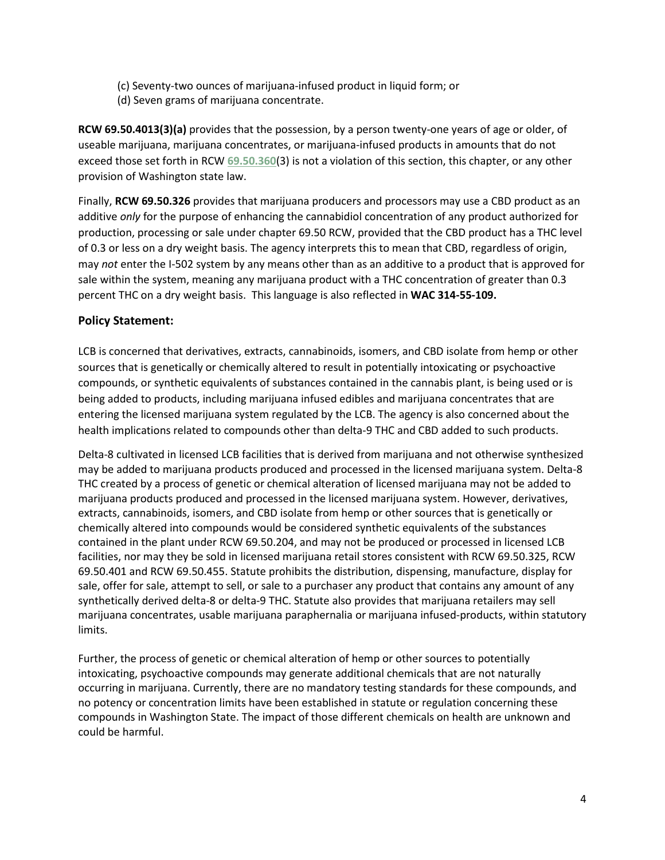- (c) Seventy-two ounces of marijuana-infused product in liquid form; or
- (d) Seven grams of marijuana concentrate.

**RCW 69.50.4013(3)(a)** provides that the possession, by a person twenty-one years of age or older, of useable marijuana, marijuana concentrates, or marijuana-infused products in amounts that do not exceed those set forth in RCW **[69.50.360](http://app.leg.wa.gov/RCW/default.aspx?cite=69.50.360)**(3) is not a violation of this section, this chapter, or any other provision of Washington state law.

Finally, **RCW 69.50.326** provides that marijuana producers and processors may use a CBD product as an additive *only* for the purpose of enhancing the cannabidiol concentration of any product authorized for production, processing or sale under chapter 69.50 RCW, provided that the CBD product has a THC level of 0.3 or less on a dry weight basis. The agency interprets this to mean that CBD, regardless of origin, may *not* enter the I-502 system by any means other than as an additive to a product that is approved for sale within the system, meaning any marijuana product with a THC concentration of greater than 0.3 percent THC on a dry weight basis. This language is also reflected in **WAC 314-55-109.**

#### **Policy Statement:**

LCB is concerned that derivatives, extracts, cannabinoids, isomers, and CBD isolate from hemp or other sources that is genetically or chemically altered to result in potentially intoxicating or psychoactive compounds, or synthetic equivalents of substances contained in the cannabis plant, is being used or is being added to products, including marijuana infused edibles and marijuana concentrates that are entering the licensed marijuana system regulated by the LCB. The agency is also concerned about the health implications related to compounds other than delta-9 THC and CBD added to such products.

Delta-8 cultivated in licensed LCB facilities that is derived from marijuana and not otherwise synthesized may be added to marijuana products produced and processed in the licensed marijuana system. Delta-8 THC created by a process of genetic or chemical alteration of licensed marijuana may not be added to marijuana products produced and processed in the licensed marijuana system. However, derivatives, extracts, cannabinoids, isomers, and CBD isolate from hemp or other sources that is genetically or chemically altered into compounds would be considered synthetic equivalents of the substances contained in the plant under RCW 69.50.204, and may not be produced or processed in licensed LCB facilities, nor may they be sold in licensed marijuana retail stores consistent with RCW 69.50.325, RCW 69.50.401 and RCW 69.50.455. Statute prohibits the distribution, dispensing, manufacture, display for sale, offer for sale, attempt to sell, or sale to a purchaser any product that contains any amount of any synthetically derived delta-8 or delta-9 THC. Statute also provides that marijuana retailers may sell marijuana concentrates, usable marijuana paraphernalia or marijuana infused-products, within statutory limits.

Further, the process of genetic or chemical alteration of hemp or other sources to potentially intoxicating, psychoactive compounds may generate additional chemicals that are not naturally occurring in marijuana. Currently, there are no mandatory testing standards for these compounds, and no potency or concentration limits have been established in statute or regulation concerning these compounds in Washington State. The impact of those different chemicals on health are unknown and could be harmful.